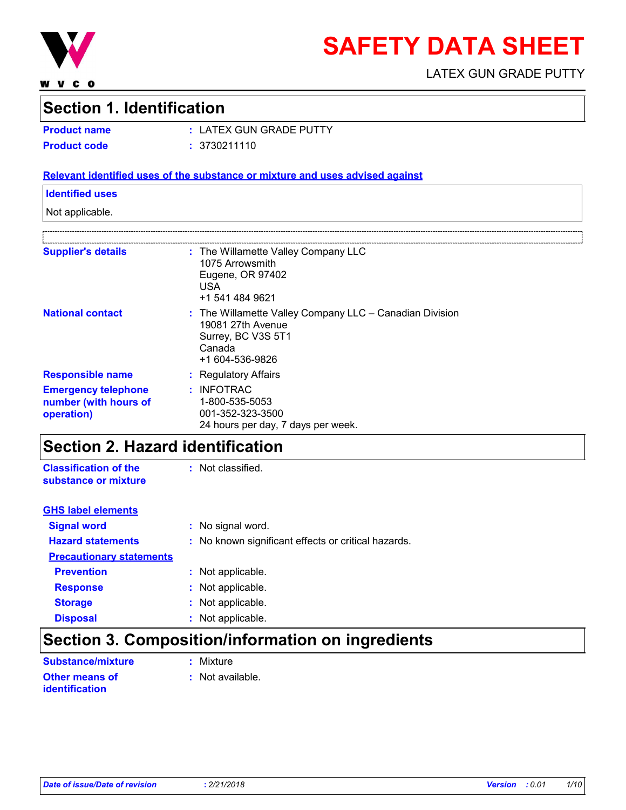

**WVCO** 

# **SAFETY DATA SHEET**

LATEX GUN GRADE PUTTY

### **Section 1. Identification**

**Product name :** LATEX GUN GRADE PUTTY **Product code :** 3730211110

#### **Relevant identified uses of the substance or mixture and uses advised against**

#### **Identified uses**

Not applicable.

| <b>Supplier's details</b>                                         | : The Willamette Valley Company LLC<br>1075 Arrowsmith<br>Eugene, OR 97402<br>USA<br>+1 541 484 9621                                |
|-------------------------------------------------------------------|-------------------------------------------------------------------------------------------------------------------------------------|
| <b>National contact</b>                                           | $:$ The Willamette Valley Company LLC $-$ Canadian Division<br>19081 27th Avenue<br>Surrey, BC V3S 5T1<br>Canada<br>+1 604-536-9826 |
| <b>Responsible name</b>                                           | : Regulatory Affairs                                                                                                                |
| <b>Emergency telephone</b><br>number (with hours of<br>operation) | $:$ INFOTRAC<br>1-800-535-5053<br>001-352-323-3500<br>24 hours per day, 7 days per week.                                            |

### **Section 2. Hazard identification**

**Classification of the substance or mixture :**

| <b>Signal word</b>              | : No signal word.                                   |
|---------------------------------|-----------------------------------------------------|
| <b>Hazard statements</b>        | : No known significant effects or critical hazards. |
| <b>Precautionary statements</b> |                                                     |
| <b>Prevention</b>               | : Not applicable.                                   |
| <b>Response</b>                 | : Not applicable.                                   |
| <b>Storage</b>                  | : Not applicable.                                   |
| <b>Disposal</b>                 | : Not applicable.                                   |

# **Section 3. Composition/information on ingredients**

| Substance/mixture                              | : Mixture        |
|------------------------------------------------|------------------|
| <b>Other means of</b><br><b>identification</b> | : Not available. |

**GHS label elements**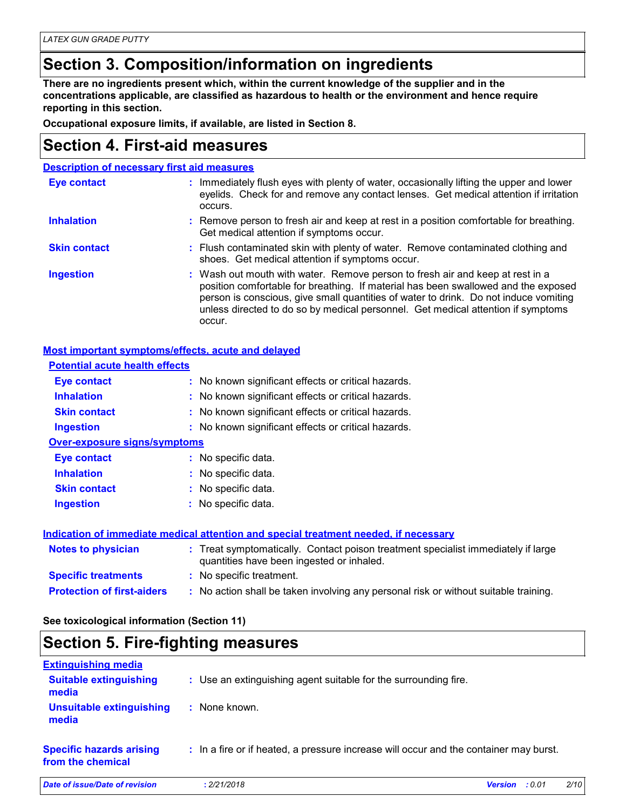# **Section 3. Composition/information on ingredients**

**There are no ingredients present which, within the current knowledge of the supplier and in the concentrations applicable, are classified as hazardous to health or the environment and hence require reporting in this section.**

**Occupational exposure limits, if available, are listed in Section 8.**

### **Section 4. First-aid measures**

| <b>Description of necessary first aid measures</b> |                                                                                                                                                                                                                                                                                                                                                           |
|----------------------------------------------------|-----------------------------------------------------------------------------------------------------------------------------------------------------------------------------------------------------------------------------------------------------------------------------------------------------------------------------------------------------------|
| <b>Eye contact</b>                                 | : Immediately flush eyes with plenty of water, occasionally lifting the upper and lower<br>eyelids. Check for and remove any contact lenses. Get medical attention if irritation<br>occurs.                                                                                                                                                               |
| <b>Inhalation</b>                                  | : Remove person to fresh air and keep at rest in a position comfortable for breathing.<br>Get medical attention if symptoms occur.                                                                                                                                                                                                                        |
| <b>Skin contact</b>                                | : Flush contaminated skin with plenty of water. Remove contaminated clothing and<br>shoes. Get medical attention if symptoms occur.                                                                                                                                                                                                                       |
| <b>Ingestion</b>                                   | : Wash out mouth with water. Remove person to fresh air and keep at rest in a<br>position comfortable for breathing. If material has been swallowed and the exposed<br>person is conscious, give small quantities of water to drink. Do not induce vomiting<br>unless directed to do so by medical personnel. Get medical attention if symptoms<br>occur. |

#### **Most important symptoms/effects, acute and delayed**

| <b>Potential acute health effects</b> |                                                                                                                                |
|---------------------------------------|--------------------------------------------------------------------------------------------------------------------------------|
| Eye contact                           | : No known significant effects or critical hazards.                                                                            |
| <b>Inhalation</b>                     | : No known significant effects or critical hazards.                                                                            |
| <b>Skin contact</b>                   | : No known significant effects or critical hazards.                                                                            |
| <b>Ingestion</b>                      | : No known significant effects or critical hazards.                                                                            |
| <b>Over-exposure signs/symptoms</b>   |                                                                                                                                |
| Eye contact                           | : No specific data.                                                                                                            |
| <b>Inhalation</b>                     | : No specific data.                                                                                                            |
| <b>Skin contact</b>                   | : No specific data.                                                                                                            |
| <b>Ingestion</b>                      | : No specific data.                                                                                                            |
|                                       | Indication of immediate medical attention and special treatment needed, if necessary                                           |
| <b>Notes to physician</b>             | : Treat symptomatically. Contact poison treatment specialist immediately if large<br>quantities have been ingested or inhaled. |
| <b>Specific treatments</b>            | : No specific treatment.                                                                                                       |
| <b>Protection of first-aiders</b>     | : No action shall be taken involving any personal risk or without suitable training.                                           |

**See toxicological information (Section 11)**

### **Section 5. Fire-fighting measures**

| <b>Extinguishing media</b>                           |                                                                                       |                          |      |
|------------------------------------------------------|---------------------------------------------------------------------------------------|--------------------------|------|
| <b>Suitable extinguishing</b><br>media               | : Use an extinguishing agent suitable for the surrounding fire.                       |                          |      |
| <b>Unsuitable extinguishing</b><br>media             | : None known.                                                                         |                          |      |
| <b>Specific hazards arising</b><br>from the chemical | : In a fire or if heated, a pressure increase will occur and the container may burst. |                          |      |
| Date of issue/Date of revision                       | : 2/21/2018                                                                           | : 0.01<br><b>Version</b> | 2/10 |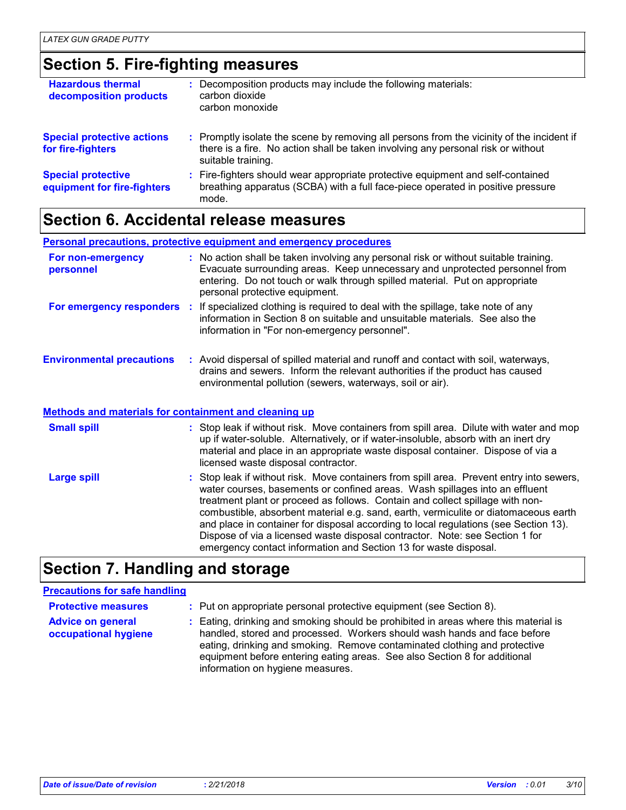### **Section 5. Fire-fighting measures**

| <b>Hazardous thermal</b><br>decomposition products       | : Decomposition products may include the following materials:<br>carbon dioxide<br>carbon monoxide                                                                                                  |
|----------------------------------------------------------|-----------------------------------------------------------------------------------------------------------------------------------------------------------------------------------------------------|
| <b>Special protective actions</b><br>for fire-fighters   | : Promptly isolate the scene by removing all persons from the vicinity of the incident if<br>there is a fire. No action shall be taken involving any personal risk or without<br>suitable training. |
| <b>Special protective</b><br>equipment for fire-fighters | : Fire-fighters should wear appropriate protective equipment and self-contained<br>breathing apparatus (SCBA) with a full face-piece operated in positive pressure<br>mode.                         |

### **Section 6. Accidental release measures**

**Personal precautions, protective equipment and emergency procedures**

| For non-emergency<br>personnel                               | : No action shall be taken involving any personal risk or without suitable training.<br>Evacuate surrounding areas. Keep unnecessary and unprotected personnel from<br>entering. Do not touch or walk through spilled material. Put on appropriate<br>personal protective equipment. |
|--------------------------------------------------------------|--------------------------------------------------------------------------------------------------------------------------------------------------------------------------------------------------------------------------------------------------------------------------------------|
|                                                              | For emergency responders : If specialized clothing is required to deal with the spillage, take note of any<br>information in Section 8 on suitable and unsuitable materials. See also the<br>information in "For non-emergency personnel".                                           |
| <b>Environmental precautions</b>                             | : Avoid dispersal of spilled material and runoff and contact with soil, waterways,<br>drains and sewers. Inform the relevant authorities if the product has caused<br>environmental pollution (sewers, waterways, soil or air).                                                      |
| <b>Methods and materials for containment and cleaning up</b> |                                                                                                                                                                                                                                                                                      |
| <b>Small spill</b>                                           | : Stop leak if without risk. Move containers from spill area. Dilute with water and mop<br>up if water-soluble. Alternatively, or if water-insoluble, absorb with an inert dry                                                                                                       |

|                    | material and place in an appropriate waste disposal container. Dispose of via a<br>licensed waste disposal contractor.                                                                                                                                                                                                                                                                                                                                                                                                                                                                      |
|--------------------|---------------------------------------------------------------------------------------------------------------------------------------------------------------------------------------------------------------------------------------------------------------------------------------------------------------------------------------------------------------------------------------------------------------------------------------------------------------------------------------------------------------------------------------------------------------------------------------------|
| <b>Large spill</b> | : Stop leak if without risk. Move containers from spill area. Prevent entry into sewers,<br>water courses, basements or confined areas. Wash spillages into an effluent<br>treatment plant or proceed as follows. Contain and collect spillage with non-<br>combustible, absorbent material e.g. sand, earth, vermiculite or diatomaceous earth<br>and place in container for disposal according to local regulations (see Section 13).<br>Dispose of via a licensed waste disposal contractor. Note: see Section 1 for<br>emergency contact information and Section 13 for waste disposal. |

### **Section 7. Handling and storage**

### **Precautions for safe handling**

**Protective measures : Put on appropriate personal protective equipment (see Section 8).** 

**Advice on general occupational hygiene** Eating, drinking and smoking should be prohibited in areas where this material is **:** handled, stored and processed. Workers should wash hands and face before eating, drinking and smoking. Remove contaminated clothing and protective equipment before entering eating areas. See also Section 8 for additional information on hygiene measures.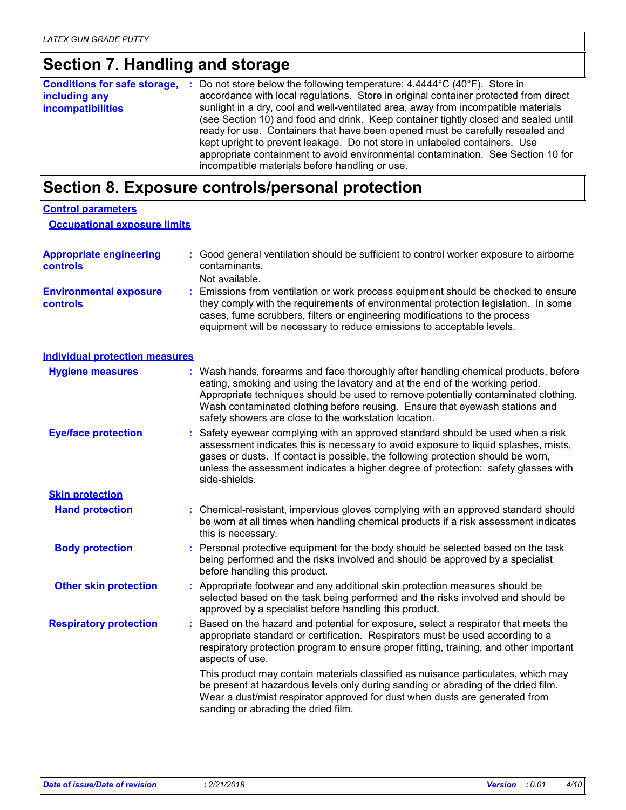# **Section 7. Handling and storage**

|                          | <b>Conditions for safe storage, :</b> Do not store below the following temperature: 4.4444°C (40°F). Store in |
|--------------------------|---------------------------------------------------------------------------------------------------------------|
| including any            | accordance with local regulations. Store in original container protected from direct                          |
| <i>incompatibilities</i> | sunlight in a dry, cool and well-ventilated area, away from incompatible materials                            |
|                          | (see Section 10) and food and drink. Keep container tightly closed and sealed until                           |
|                          | ready for use. Containers that have been opened must be carefully resealed and                                |
|                          | kept upright to prevent leakage. Do not store in unlabeled containers. Use                                    |
|                          | appropriate containment to avoid environmental contamination. See Section 10 for                              |
|                          | incompatible materials before handling or use.                                                                |

# **Section 8. Exposure controls/personal protection**

| <b>Control parameters</b><br><b>Occupational exposure limits</b> |                                                                                                                                                                                                                                                                                                                                                                                                   |
|------------------------------------------------------------------|---------------------------------------------------------------------------------------------------------------------------------------------------------------------------------------------------------------------------------------------------------------------------------------------------------------------------------------------------------------------------------------------------|
| <b>Appropriate engineering</b><br><b>controls</b>                | Good general ventilation should be sufficient to control worker exposure to airborne<br>contaminants.<br>Not available.                                                                                                                                                                                                                                                                           |
| <b>Environmental exposure</b><br><b>controls</b>                 | : Emissions from ventilation or work process equipment should be checked to ensure<br>they comply with the requirements of environmental protection legislation. In some<br>cases, fume scrubbers, filters or engineering modifications to the process<br>equipment will be necessary to reduce emissions to acceptable levels.                                                                   |
| <b>Individual protection measures</b>                            |                                                                                                                                                                                                                                                                                                                                                                                                   |
| <b>Hygiene measures</b>                                          | : Wash hands, forearms and face thoroughly after handling chemical products, before<br>eating, smoking and using the lavatory and at the end of the working period.<br>Appropriate techniques should be used to remove potentially contaminated clothing.<br>Wash contaminated clothing before reusing. Ensure that eyewash stations and<br>safety showers are close to the workstation location. |
| <b>Eye/face protection</b>                                       | Safety eyewear complying with an approved standard should be used when a risk<br>assessment indicates this is necessary to avoid exposure to liquid splashes, mists,<br>gases or dusts. If contact is possible, the following protection should be worn,<br>unless the assessment indicates a higher degree of protection: safety glasses with<br>side-shields.                                   |
| <b>Skin protection</b>                                           |                                                                                                                                                                                                                                                                                                                                                                                                   |
| <b>Hand protection</b>                                           | : Chemical-resistant, impervious gloves complying with an approved standard should<br>be worn at all times when handling chemical products if a risk assessment indicates<br>this is necessary.                                                                                                                                                                                                   |
| <b>Body protection</b>                                           | : Personal protective equipment for the body should be selected based on the task<br>being performed and the risks involved and should be approved by a specialist<br>before handling this product.                                                                                                                                                                                               |
| <b>Other skin protection</b>                                     | : Appropriate footwear and any additional skin protection measures should be<br>selected based on the task being performed and the risks involved and should be<br>approved by a specialist before handling this product.                                                                                                                                                                         |
| <b>Respiratory protection</b>                                    | : Based on the hazard and potential for exposure, select a respirator that meets the<br>appropriate standard or certification. Respirators must be used according to a<br>respiratory protection program to ensure proper fitting, training, and other important<br>aspects of use.                                                                                                               |
|                                                                  | This product may contain materials classified as nuisance particulates, which may<br>be present at hazardous levels only during sanding or abrading of the dried film.<br>Wear a dust/mist respirator approved for dust when dusts are generated from<br>sanding or abrading the dried film.                                                                                                      |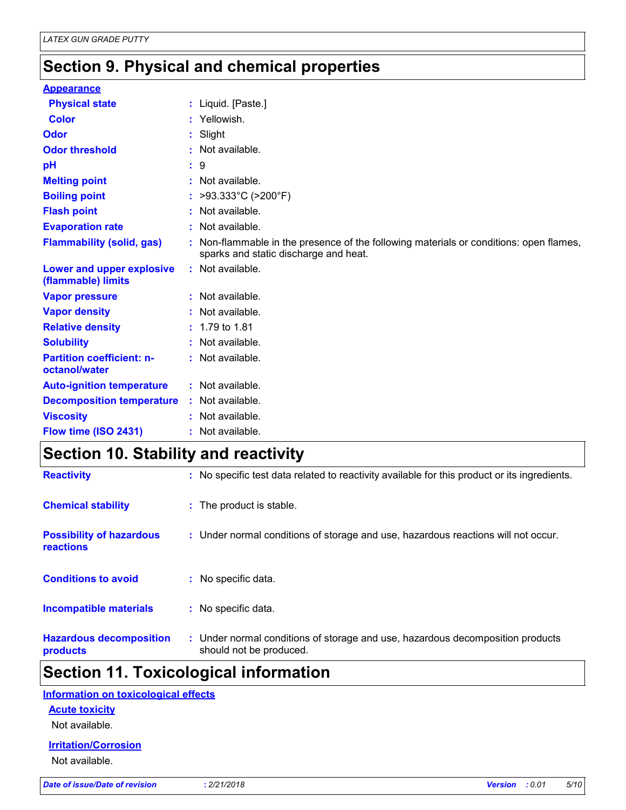## **Section 9. Physical and chemical properties**

| <b>Appearance</b>                                 |                                                                                                                                 |
|---------------------------------------------------|---------------------------------------------------------------------------------------------------------------------------------|
| <b>Physical state</b>                             | : Liquid. [Paste.]                                                                                                              |
| Color                                             | : Yellowish.                                                                                                                    |
| Odor                                              | : Slight                                                                                                                        |
| <b>Odor threshold</b>                             | : Not available.                                                                                                                |
| рH                                                | : 9                                                                                                                             |
| <b>Melting point</b>                              | : Not available.                                                                                                                |
| <b>Boiling point</b>                              | : >93.333°C (>200°F)                                                                                                            |
| <b>Flash point</b>                                | : Not available.                                                                                                                |
| <b>Evaporation rate</b>                           | : Not available.                                                                                                                |
| <b>Flammability (solid, gas)</b>                  | : Non-flammable in the presence of the following materials or conditions: open flames,<br>sparks and static discharge and heat. |
| Lower and upper explosive<br>(flammable) limits   | : Not available.                                                                                                                |
| <b>Vapor pressure</b>                             | : Not available.                                                                                                                |
| <b>Vapor density</b>                              | : Not available.                                                                                                                |
| <b>Relative density</b>                           | $: 1.79$ to 1.81                                                                                                                |
| <b>Solubility</b>                                 | : Not available.                                                                                                                |
| <b>Partition coefficient: n-</b><br>octanol/water | : Not available.                                                                                                                |
| <b>Auto-ignition temperature</b>                  | : Not available.                                                                                                                |
| <b>Decomposition temperature</b>                  | : Not available.                                                                                                                |
| <b>Viscosity</b>                                  | : Not available.                                                                                                                |
| Flow time (ISO 2431)                              | : Not available.                                                                                                                |

## **Section 10. Stability and reactivity**

| <b>Hazardous decomposition</b><br>products          | : Under normal conditions of storage and use, hazardous decomposition products<br>should not be produced. |
|-----------------------------------------------------|-----------------------------------------------------------------------------------------------------------|
| <b>Incompatible materials</b>                       | : No specific data.                                                                                       |
| <b>Conditions to avoid</b>                          | : No specific data.                                                                                       |
| <b>Possibility of hazardous</b><br><b>reactions</b> | : Under normal conditions of storage and use, hazardous reactions will not occur.                         |
| <b>Chemical stability</b>                           | : The product is stable.                                                                                  |
| <b>Reactivity</b>                                   | : No specific test data related to reactivity available for this product or its ingredients.              |

### **Section 11. Toxicological information**

#### **Information on toxicological effects**

#### **Acute toxicity**

Not available.

#### **Irritation/Corrosion**

Not available.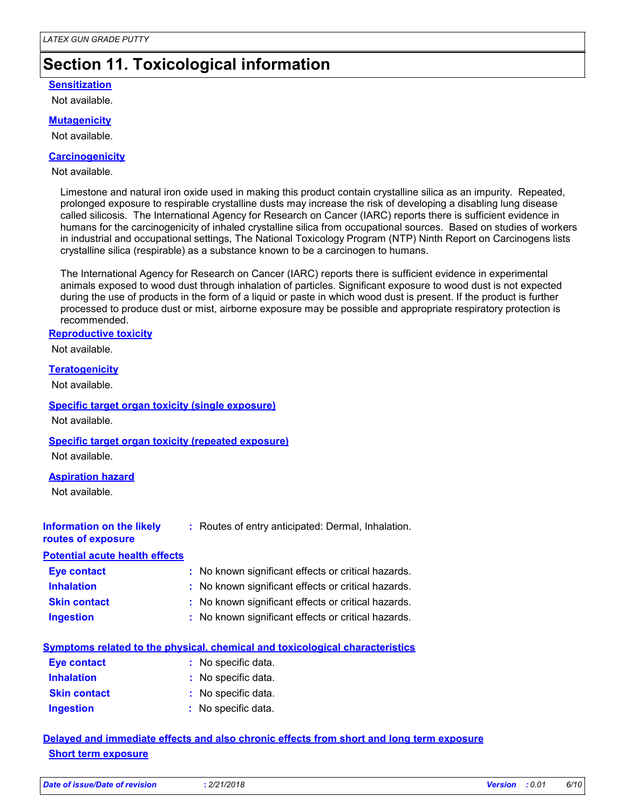## **Section 11. Toxicological information**

#### **Sensitization**

Not available.

#### **Mutagenicity**

Not available.

#### **Carcinogenicity**

Not available.

Limestone and natural iron oxide used in making this product contain crystalline silica as an impurity. Repeated, prolonged exposure to respirable crystalline dusts may increase the risk of developing a disabling lung disease called silicosis. The International Agency for Research on Cancer (IARC) reports there is sufficient evidence in humans for the carcinogenicity of inhaled crystalline silica from occupational sources. Based on studies of workers in industrial and occupational settings, The National Toxicology Program (NTP) Ninth Report on Carcinogens lists crystalline silica (respirable) as a substance known to be a carcinogen to humans.

The International Agency for Research on Cancer (IARC) reports there is sufficient evidence in experimental animals exposed to wood dust through inhalation of particles. Significant exposure to wood dust is not expected during the use of products in the form of a liquid or paste in which wood dust is present. If the product is further processed to produce dust or mist, airborne exposure may be possible and appropriate respiratory protection is recommended.

#### **Reproductive toxicity**

Not available.

#### **Teratogenicity**

Not available.

#### **Specific target organ toxicity (single exposure)**

Not available.

#### **Specific target organ toxicity (repeated exposure)**

Not available.

#### **Aspiration hazard**

Not available.

| Information on the likely<br>routes of exposure | : Routes of entry anticipated: Dermal, Inhalation.  |
|-------------------------------------------------|-----------------------------------------------------|
| <b>Potential acute health effects</b>           |                                                     |
| <b>Eye contact</b>                              | : No known significant effects or critical hazards. |
| <b>Inhalation</b>                               | : No known significant effects or critical hazards. |
| <b>Skin contact</b>                             | : No known significant effects or critical hazards. |
|                                                 |                                                     |

| : No known significant effects or critical hazards.<br>Ingestion |  |
|------------------------------------------------------------------|--|
|------------------------------------------------------------------|--|

|--|

| Eye contact         | : No specific data. |
|---------------------|---------------------|
| <b>Inhalation</b>   | : No specific data. |
| <b>Skin contact</b> | : No specific data. |
| <b>Ingestion</b>    | : No specific data. |

### **Delayed and immediate effects and also chronic effects from short and long term exposure Short term exposure**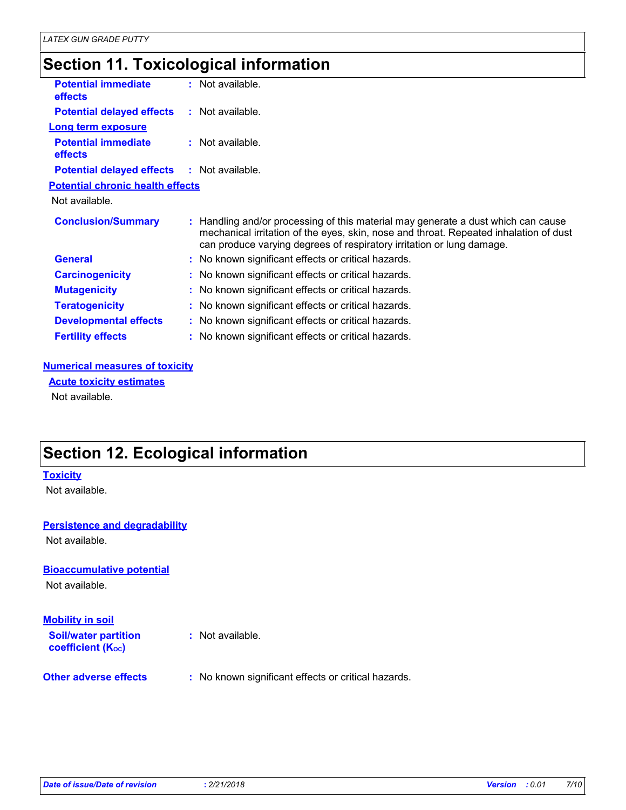### **Section 11. Toxicological information**

| <b>Potential immediate</b><br>effects        | $:$ Not available.                                                                                                                                                                                                                                |
|----------------------------------------------|---------------------------------------------------------------------------------------------------------------------------------------------------------------------------------------------------------------------------------------------------|
| <b>Potential delayed effects</b>             | $:$ Not available.                                                                                                                                                                                                                                |
| <b>Long term exposure</b>                    |                                                                                                                                                                                                                                                   |
| <b>Potential immediate</b><br><b>effects</b> | $:$ Not available.                                                                                                                                                                                                                                |
| <b>Potential delayed effects</b>             | $:$ Not available.                                                                                                                                                                                                                                |
| <b>Potential chronic health effects</b>      |                                                                                                                                                                                                                                                   |
| Not available.                               |                                                                                                                                                                                                                                                   |
| <b>Conclusion/Summary</b>                    | Handling and/or processing of this material may generate a dust which can cause<br>mechanical irritation of the eyes, skin, nose and throat. Repeated inhalation of dust<br>can produce varying degrees of respiratory irritation or lung damage. |
| <b>General</b>                               | : No known significant effects or critical hazards.                                                                                                                                                                                               |
| <b>Carcinogenicity</b>                       | : No known significant effects or critical hazards.                                                                                                                                                                                               |
| <b>Mutagenicity</b>                          | : No known significant effects or critical hazards.                                                                                                                                                                                               |
| <b>Teratogenicity</b>                        | : No known significant effects or critical hazards.                                                                                                                                                                                               |
| <b>Developmental effects</b>                 | : No known significant effects or critical hazards.                                                                                                                                                                                               |
| <b>Fertility effects</b>                     | : No known significant effects or critical hazards.                                                                                                                                                                                               |

#### **Numerical measures of toxicity**

Not available. **Acute toxicity estimates**

**Section 12. Ecological information**

#### **Toxicity**

Not available.

### **Persistence and degradability**

Not available.

#### **Bioaccumulative potential**

Not available.

#### **Mobility in soil**

| <b>Soil/water partition</b><br><b>coefficient (Koc)</b> | : Not available.                                    |
|---------------------------------------------------------|-----------------------------------------------------|
| <b>Other adverse effects</b>                            | : No known significant effects or critical hazards. |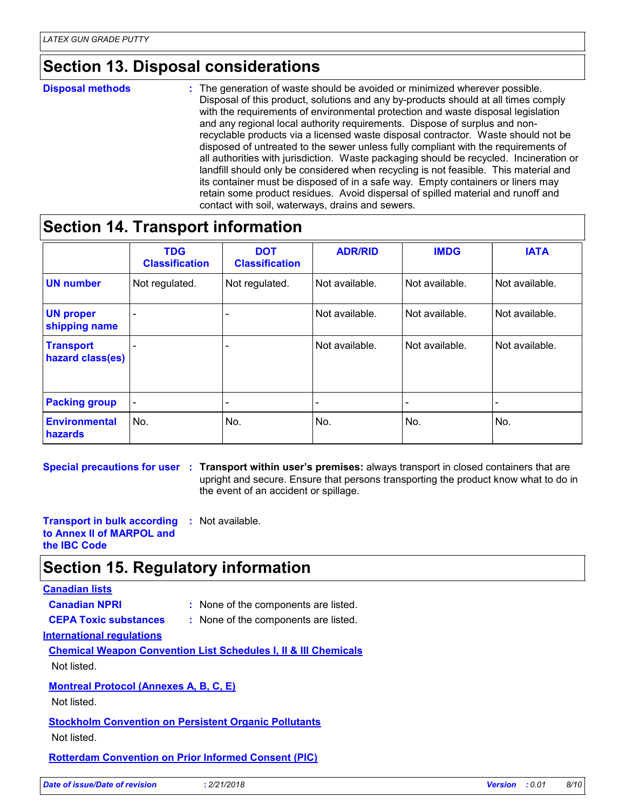### **Section 13. Disposal considerations**

#### The generation of waste should be avoided or minimized wherever possible. Disposal of this product, solutions and any by-products should at all times comply with the requirements of environmental protection and waste disposal legislation and any regional local authority requirements. Dispose of surplus and nonrecyclable products via a licensed waste disposal contractor. Waste should not be disposed of untreated to the sewer unless fully compliant with the requirements of all authorities with jurisdiction. Waste packaging should be recycled. Incineration or landfill should only be considered when recycling is not feasible. This material and its container must be disposed of in a safe way. Empty containers or liners may retain some product residues. Avoid dispersal of spilled material and runoff and contact with soil, waterways, drains and sewers. **Disposal methods :**

### **Section 14. Transport information**

|                                      | <b>TDG</b><br><b>Classification</b> | <b>DOT</b><br><b>Classification</b> | <b>ADR/RID</b> | <b>IMDG</b>    | <b>IATA</b>    |
|--------------------------------------|-------------------------------------|-------------------------------------|----------------|----------------|----------------|
| <b>UN number</b>                     | Not regulated.                      | Not regulated.                      | Not available. | Not available. | Not available. |
| <b>UN proper</b><br>shipping name    | $\blacksquare$                      | $\overline{\phantom{0}}$            | Not available. | Not available. | Not available. |
| <b>Transport</b><br>hazard class(es) |                                     |                                     | Not available. | Not available. | Not available. |
| <b>Packing group</b>                 | $\overline{\phantom{a}}$            | $\overline{\phantom{a}}$            |                |                |                |
| <b>Environmental</b><br>hazards      | No.                                 | No.                                 | No.            | No.            | No.            |

**Special precautions for user Transport within user's premises:** always transport in closed containers that are **:** upright and secure. Ensure that persons transporting the product know what to do in the event of an accident or spillage.

**Transport in bulk according to Annex II of MARPOL and the IBC Code :** Not available.

### **Section 15. Regulatory information**

### **Canadian lists**

**Canadian NPRI :** None of the components are listed. **CEPA Toxic substances :** None of the components are listed.

- **International regulations**
- **Chemical Weapon Convention List Schedules I, II & III Chemicals** Not listed.

#### **Montreal Protocol (Annexes A, B, C, E)**

Not listed.

#### **Stockholm Convention on Persistent Organic Pollutants**

Not listed.

**Rotterdam Convention on Prior Informed Consent (PIC)**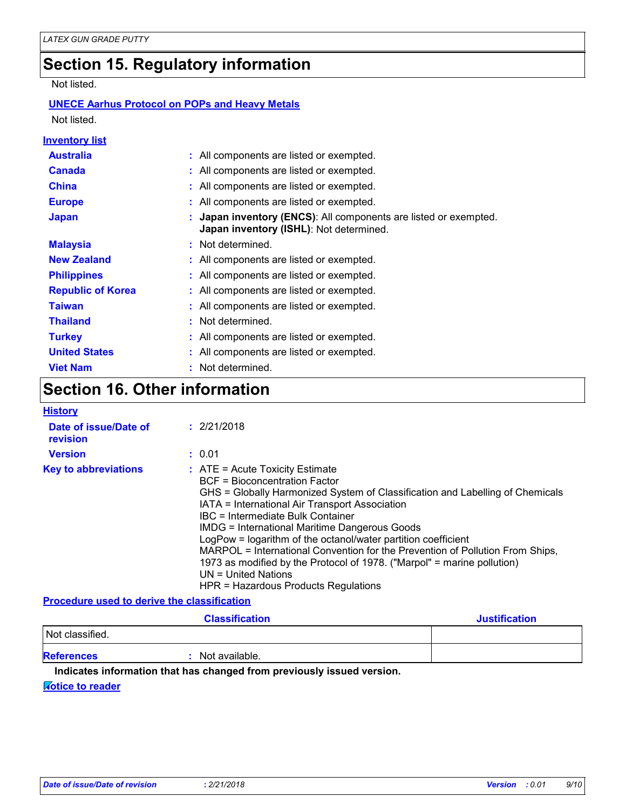### **Section 15. Regulatory information**

Not listed.

### **UNECE Aarhus Protocol on POPs and Heavy Metals**

Not listed.

| Inventory list           |                                                                                                             |
|--------------------------|-------------------------------------------------------------------------------------------------------------|
| <b>Australia</b>         | : All components are listed or exempted.                                                                    |
| <b>Canada</b>            | : All components are listed or exempted.                                                                    |
| <b>China</b>             | : All components are listed or exempted.                                                                    |
| <b>Europe</b>            | : All components are listed or exempted.                                                                    |
| <b>Japan</b>             | : Japan inventory (ENCS): All components are listed or exempted.<br>Japan inventory (ISHL): Not determined. |
| <b>Malaysia</b>          | : Not determined.                                                                                           |
| <b>New Zealand</b>       | : All components are listed or exempted.                                                                    |
| <b>Philippines</b>       | : All components are listed or exempted.                                                                    |
| <b>Republic of Korea</b> | : All components are listed or exempted.                                                                    |
| <b>Taiwan</b>            | : All components are listed or exempted.                                                                    |
| <b>Thailand</b>          | : Not determined.                                                                                           |
| <b>Turkey</b>            | : All components are listed or exempted.                                                                    |
| <b>United States</b>     | : All components are listed or exempted.                                                                    |
| <b>Viet Nam</b>          | : Not determined.                                                                                           |

# **Section 16. Other information**

| <b>History</b>                              |                                                                                                                                                                                                                                                                                                                                                                                                                                                                                                                                                                                                |
|---------------------------------------------|------------------------------------------------------------------------------------------------------------------------------------------------------------------------------------------------------------------------------------------------------------------------------------------------------------------------------------------------------------------------------------------------------------------------------------------------------------------------------------------------------------------------------------------------------------------------------------------------|
| Date of issue/Date of<br>revision           | : 2/21/2018                                                                                                                                                                                                                                                                                                                                                                                                                                                                                                                                                                                    |
| <b>Version</b>                              | : 0.01                                                                                                                                                                                                                                                                                                                                                                                                                                                                                                                                                                                         |
| <b>Key to abbreviations</b>                 | $:$ ATE = Acute Toxicity Estimate<br>BCF = Bioconcentration Factor<br>GHS = Globally Harmonized System of Classification and Labelling of Chemicals<br>IATA = International Air Transport Association<br>IBC = Intermediate Bulk Container<br><b>IMDG = International Maritime Dangerous Goods</b><br>LogPow = logarithm of the octanol/water partition coefficient<br>MARPOL = International Convention for the Prevention of Pollution From Ships,<br>1973 as modified by the Protocol of 1978. ("Marpol" = marine pollution)<br>UN = United Nations<br>HPR = Hazardous Products Regulations |
| Dessadura usad ta dariya tha alasaifisatism |                                                                                                                                                                                                                                                                                                                                                                                                                                                                                                                                                                                                |

#### **Procedure used to derive the classification**

|                   | <b>Classification</b> | <b>Justification</b> |
|-------------------|-----------------------|----------------------|
| Not classified.   |                       |                      |
| <b>References</b> | Not available.        |                      |

#### **Indicates information that has changed from previously issued version.**

#### **Notice to reader**